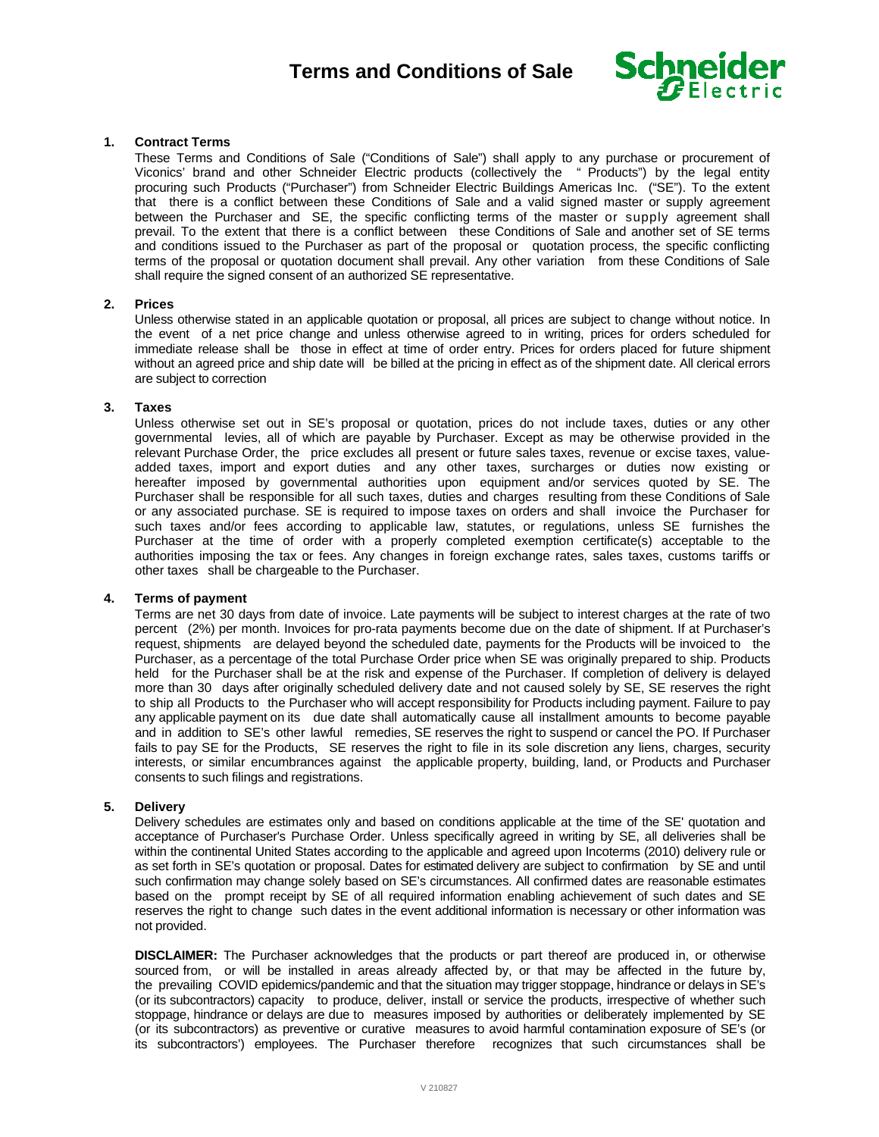

# **1. Contract Terms**

These Terms and Conditions of Sale ("Conditions of Sale") shall apply to any purchase or procurement of Viconics' brand and other Schneider Electric products (collectively the " Products") by the legal entity procuring such Products ("Purchaser") from Schneider Electric Buildings Americas Inc. ("SE"). To the extent that there is a conflict between these Conditions of Sale and a valid signed master or supply agreement between the Purchaser and SE, the specific conflicting terms of the master or supply agreement shall prevail. To the extent that there is a conflict between these Conditions of Sale and another set of SE terms and conditions issued to the Purchaser as part of the proposal or quotation process, the specific conflicting terms of the proposal or quotation document shall prevail. Any other variation from these Conditions of Sale shall require the signed consent of an authorized SE representative.

#### **2. Prices**

Unless otherwise stated in an applicable quotation or proposal, all prices are subject to change without notice. In the event of a net price change and unless otherwise agreed to in writing, prices for orders scheduled for immediate release shall be those in effect at time of order entry. Prices for orders placed for future shipment without an agreed price and ship date will be billed at the pricing in effect as of the shipment date. All clerical errors are subject to correction

#### **3. Taxes**

Unless otherwise set out in SE's proposal or quotation, prices do not include taxes, duties or any other governmental levies, all of which are payable by Purchaser. Except as may be otherwise provided in the relevant Purchase Order, the price excludes all present or future sales taxes, revenue or excise taxes, valueadded taxes, import and export duties and any other taxes, surcharges or duties now existing or hereafter imposed by governmental authorities upon equipment and/or services quoted by SE. The Purchaser shall be responsible for all such taxes, duties and charges resulting from these Conditions of Sale or any associated purchase. SE is required to impose taxes on orders and shall invoice the Purchaser for such taxes and/or fees according to applicable law, statutes, or regulations, unless SE furnishes the Purchaser at the time of order with a properly completed exemption certificate(s) acceptable to the authorities imposing the tax or fees. Any changes in foreign exchange rates, sales taxes, customs tariffs or other taxes shall be chargeable to the Purchaser.

### **4. Terms of payment**

Terms are net 30 days from date of invoice. Late payments will be subject to interest charges at the rate of two percent (2%) per month. Invoices for pro-rata payments become due on the date of shipment. If at Purchaser's request, shipments are delayed beyond the scheduled date, payments for the Products will be invoiced to the Purchaser, as a percentage of the total Purchase Order price when SE was originally prepared to ship. Products held for the Purchaser shall be at the risk and expense of the Purchaser. If completion of delivery is delayed more than 30 days after originally scheduled delivery date and not caused solely by SE, SE reserves the right to ship all Products to the Purchaser who will accept responsibility for Products including payment. Failure to pay any applicable payment on its due date shall automatically cause all installment amounts to become payable and in addition to SE's other lawful remedies, SE reserves the right to suspend or cancel the PO. If Purchaser fails to pay SE for the Products, SE reserves the right to file in its sole discretion any liens, charges, security interests, or similar encumbrances against the applicable property, building, land, or Products and Purchaser consents to such filings and registrations.

#### **5. Delivery**

Delivery schedules are estimates only and based on conditions applicable at the time of the SE' quotation and acceptance of Purchaser's Purchase Order. Unless specifically agreed in writing by SE, all deliveries shall be within the continental United States according to the applicable and agreed upon Incoterms (2010) delivery rule or as set forth in SE's quotation or proposal. Dates for estimated delivery are subject to confirmation by SE and until such confirmation may change solely based on SE's circumstances. All confirmed dates are reasonable estimates based on the prompt receipt by SE of all required information enabling achievement of such dates and SE reserves the right to change such dates in the event additional information is necessary or other information was not provided.

**DISCLAIMER:** The Purchaser acknowledges that the products or part thereof are produced in, or otherwise sourced from, or will be installed in areas already affected by, or that may be affected in the future by, the prevailing COVID epidemics/pandemic and that the situation may trigger stoppage, hindrance or delays in SE's (or its subcontractors) capacity to produce, deliver, install or service the products, irrespective of whether such stoppage, hindrance or delays are due to measures imposed by authorities or deliberately implemented by SE (or its subcontractors) as preventive or curative measures to avoid harmful contamination exposure of SE's (or its subcontractors') employees. The Purchaser therefore recognizes that such circumstances shall be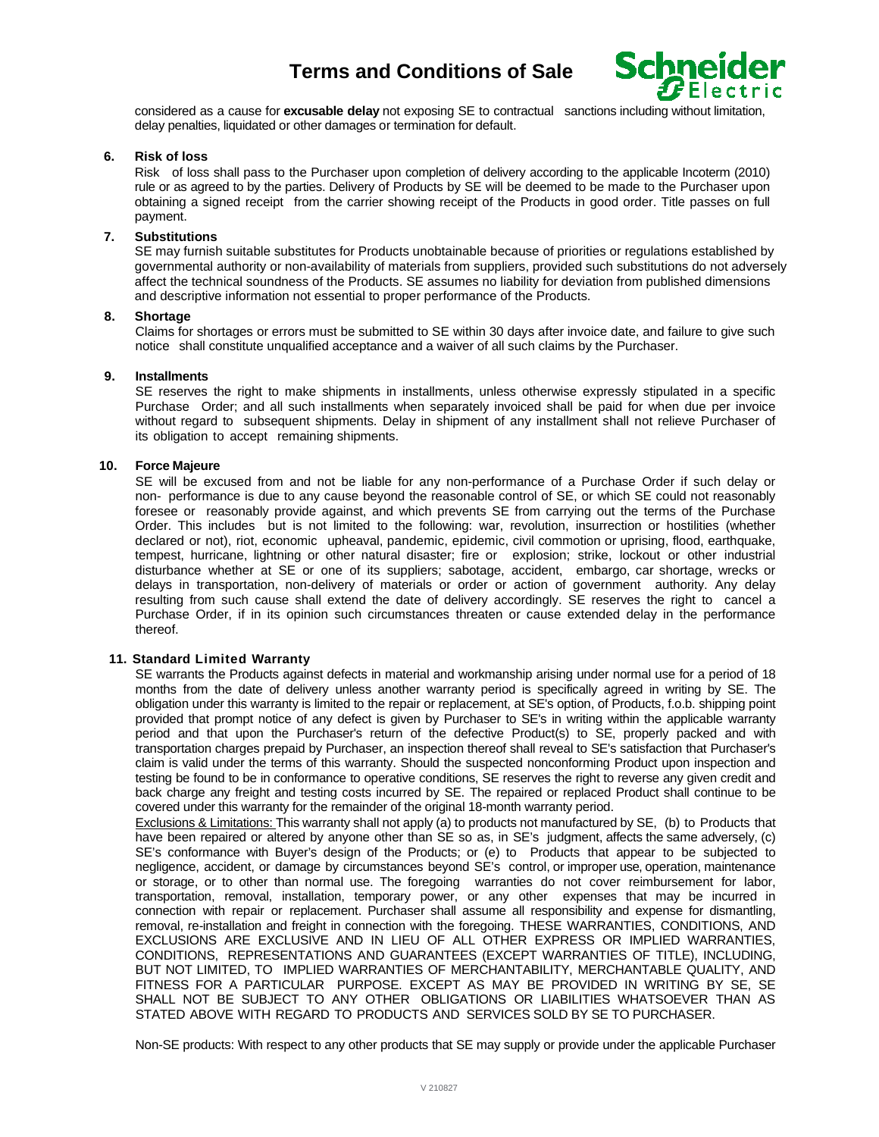

considered as a cause for **excusable delay** not exposing SE to contractual sanctions including without limitation, delay penalties, liquidated or other damages or termination for default.

# **6. Risk of loss**

Risk of loss shall pass to the Purchaser upon completion of delivery according to the applicable Incoterm (2010) rule or as agreed to by the parties. Delivery of Products by SE will be deemed to be made to the Purchaser upon obtaining a signed receipt from the carrier showing receipt of the Products in good order. Title passes on full payment.

# **7. Substitutions**

SE may furnish suitable substitutes for Products unobtainable because of priorities or regulations established by governmental authority or non-availability of materials from suppliers, provided such substitutions do not adversely affect the technical soundness of the Products. SE assumes no liability for deviation from published dimensions and descriptive information not essential to proper performance of the Products.

# **8. Shortage**

Claims for shortages or errors must be submitted to SE within 30 days after invoice date, and failure to give such notice shall constitute unqualified acceptance and a waiver of all such claims by the Purchaser.

#### **9. Installments**

SE reserves the right to make shipments in installments, unless otherwise expressly stipulated in a specific Purchase Order; and all such installments when separately invoiced shall be paid for when due per invoice without regard to subsequent shipments. Delay in shipment of any installment shall not relieve Purchaser of its obligation to accept remaining shipments.

## **10. Force Majeure**

SE will be excused from and not be liable for any non-performance of a Purchase Order if such delay or non- performance is due to any cause beyond the reasonable control of SE, or which SE could not reasonably foresee or reasonably provide against, and which prevents SE from carrying out the terms of the Purchase Order. This includes but is not limited to the following: war, revolution, insurrection or hostilities (whether declared or not), riot, economic upheaval, pandemic, epidemic, civil commotion or uprising, flood, earthquake, tempest, hurricane, lightning or other natural disaster; fire or explosion; strike, lockout or other industrial disturbance whether at SE or one of its suppliers; sabotage, accident, embargo, car shortage, wrecks or delays in transportation, non-delivery of materials or order or action of government authority. Any delay resulting from such cause shall extend the date of delivery accordingly. SE reserves the right to cancel a Purchase Order, if in its opinion such circumstances threaten or cause extended delay in the performance thereof.

# **11. Standard Limited Warranty**

SE warrants the Products against defects in material and workmanship arising under normal use for a period of 18 months from the date of delivery unless another warranty period is specifically agreed in writing by SE. The obligation under this warranty is limited to the repair or replacement, at SE's option, of Products, f.o.b. shipping point provided that prompt notice of any defect is given by Purchaser to SE's in writing within the applicable warranty period and that upon the Purchaser's return of the defective Product(s) to SE, properly packed and with transportation charges prepaid by Purchaser, an inspection thereof shall reveal to SE's satisfaction that Purchaser's claim is valid under the terms of this warranty. Should the suspected nonconforming Product upon inspection and testing be found to be in conformance to operative conditions, SE reserves the right to reverse any given credit and back charge any freight and testing costs incurred by SE. The repaired or replaced Product shall continue to be covered under this warranty for the remainder of the original 18-month warranty period.

Exclusions & Limitations: This warranty shall not apply (a) to products not manufactured by SE, (b) to Products that have been repaired or altered by anyone other than SE so as, in SE's judgment, affects the same adversely, (c) SE's conformance with Buyer's design of the Products; or (e) to Products that appear to be subjected to negligence, accident, or damage by circumstances beyond SE's control, or improper use, operation, maintenance or storage, or to other than normal use. The foregoing warranties do not cover reimbursement for labor, transportation, removal, installation, temporary power, or any other expenses that may be incurred in connection with repair or replacement. Purchaser shall assume all responsibility and expense for dismantling, removal, re-installation and freight in connection with the foregoing. THESE WARRANTIES, CONDITIONS, AND EXCLUSIONS ARE EXCLUSIVE AND IN LIEU OF ALL OTHER EXPRESS OR IMPLIED WARRANTIES, CONDITIONS, REPRESENTATIONS AND GUARANTEES (EXCEPT WARRANTIES OF TITLE), INCLUDING, BUT NOT LIMITED, TO IMPLIED WARRANTIES OF MERCHANTABILITY, MERCHANTABLE QUALITY, AND FITNESS FOR A PARTICULAR PURPOSE. EXCEPT AS MAY BE PROVIDED IN WRITING BY SE, SE SHALL NOT BE SUBJECT TO ANY OTHER OBLIGATIONS OR LIABILITIES WHATSOEVER THAN AS STATED ABOVE WITH REGARD TO PRODUCTS AND SERVICES SOLD BY SE TO PURCHASER.

Non-SE products: With respect to any other products that SE may supply or provide under the applicable Purchaser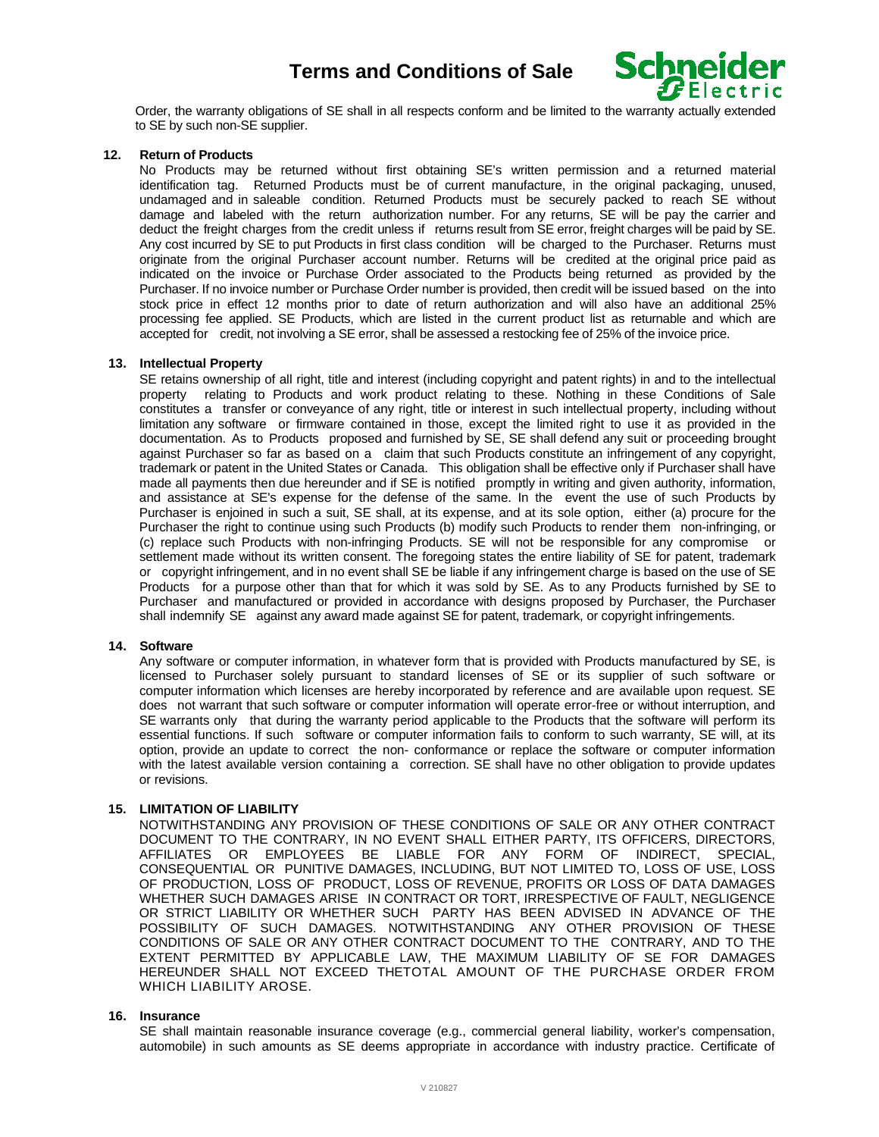

Order, the warranty obligations of SE shall in all respects conform and be limited to the warranty actually extended to SE by such non-SE supplier.

## **12. Return of Products**

No Products may be returned without first obtaining SE's written permission and a returned material identification tag. Returned Products must be of current manufacture, in the original packaging, unused, undamaged and in saleable condition. Returned Products must be securely packed to reach SE without damage and labeled with the return authorization number. For any returns, SE will be pay the carrier and deduct the freight charges from the credit unless if returns result from SE error, freight charges will be paid by SE. Any cost incurred by SE to put Products in first class condition will be charged to the Purchaser. Returns must originate from the original Purchaser account number. Returns will be credited at the original price paid as indicated on the invoice or Purchase Order associated to the Products being returned as provided by the Purchaser. If no invoice number or Purchase Order number is provided, then credit will be issued based on the into stock price in effect 12 months prior to date of return authorization and will also have an additional 25% processing fee applied. SE Products, which are listed in the current product list as returnable and which are accepted for credit, not involving a SE error, shall be assessed a restocking fee of 25% of the invoice price.

## **13. Intellectual Property**

SE retains ownership of all right, title and interest (including copyright and patent rights) in and to the intellectual property relating to Products and work product relating to these. Nothing in these Conditions of Sale constitutes a transfer or conveyance of any right, title or interest in such intellectual property, including without limitation any software or firmware contained in those, except the limited right to use it as provided in the documentation. As to Products proposed and furnished by SE, SE shall defend any suit or proceeding brought against Purchaser so far as based on a claim that such Products constitute an infringement of any copyright, trademark or patent in the United States or Canada. This obligation shall be effective only if Purchaser shall have made all payments then due hereunder and if SE is notified promptly in writing and given authority, information, and assistance at SE's expense for the defense of the same. In the event the use of such Products by Purchaser is enjoined in such a suit, SE shall, at its expense, and at its sole option, either (a) procure for the Purchaser the right to continue using such Products (b) modify such Products to render them non-infringing, or (c) replace such Products with non-infringing Products. SE will not be responsible for any compromise or settlement made without its written consent. The foregoing states the entire liability of SE for patent, trademark or copyright infringement, and in no event shall SE be liable if any infringement charge is based on the use of SE Products for a purpose other than that for which it was sold by SE. As to any Products furnished by SE to Purchaser and manufactured or provided in accordance with designs proposed by Purchaser, the Purchaser shall indemnify SE against any award made against SE for patent, trademark, or copyright infringements.

#### **14. Software**

Any software or computer information, in whatever form that is provided with Products manufactured by SE, is licensed to Purchaser solely pursuant to standard licenses of SE or its supplier of such software or computer information which licenses are hereby incorporated by reference and are available upon request. SE does not warrant that such software or computer information will operate error-free or without interruption, and SE warrants only that during the warranty period applicable to the Products that the software will perform its essential functions. If such software or computer information fails to conform to such warranty, SE will, at its option, provide an update to correct the non- conformance or replace the software or computer information with the latest available version containing a correction. SE shall have no other obligation to provide updates or revisions.

### **15. LIMITATION OF LIABILITY**

NOTWITHSTANDING ANY PROVISION OF THESE CONDITIONS OF SALE OR ANY OTHER CONTRACT DOCUMENT TO THE CONTRARY, IN NO EVENT SHALL EITHER PARTY, ITS OFFICERS, DIRECTORS, AFFILIATES OR EMPLOYEES BE LIABLE FOR ANY FORM OF INDIRECT, SPECIAL, CONSEQUENTIAL OR PUNITIVE DAMAGES, INCLUDING, BUT NOT LIMITED TO, LOSS OF USE, LOSS OF PRODUCTION, LOSS OF PRODUCT, LOSS OF REVENUE, PROFITS OR LOSS OF DATA DAMAGES WHETHER SUCH DAMAGES ARISE IN CONTRACT OR TORT, IRRESPECTIVE OF FAULT, NEGLIGENCE OR STRICT LIABILITY OR WHETHER SUCH PARTY HAS BEEN ADVISED IN ADVANCE OF THE POSSIBILITY OF SUCH DAMAGES. NOTWITHSTANDING ANY OTHER PROVISION OF THESE CONDITIONS OF SALE OR ANY OTHER CONTRACT DOCUMENT TO THE CONTRARY, AND TO THE EXTENT PERMITTED BY APPLICABLE LAW, THE MAXIMUM LIABILITY OF SE FOR DAMAGES HEREUNDER SHALL NOT EXCEED THETOTAL AMOUNT OF THE PURCHASE ORDER FROM WHICH LIABILITY AROSE.

## **16. Insurance**

SE shall maintain reasonable insurance coverage (e.g., commercial general liability, worker's compensation, automobile) in such amounts as SE deems appropriate in accordance with industry practice. Certificate of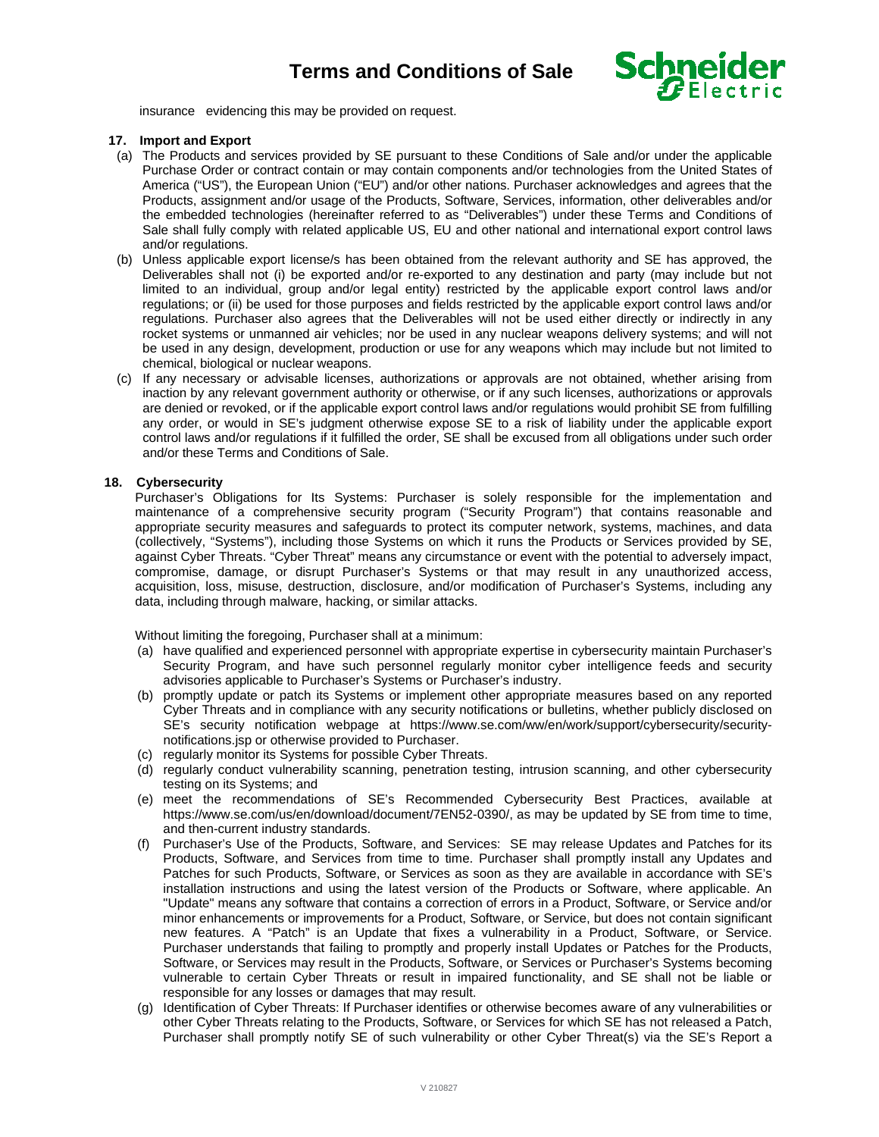

insurance evidencing this may be provided on request.

# **17. Import and Export**

- (a) The Products and services provided by SE pursuant to these Conditions of Sale and/or under the applicable Purchase Order or contract contain or may contain components and/or technologies from the United States of America ("US"), the European Union ("EU") and/or other nations. Purchaser acknowledges and agrees that the Products, assignment and/or usage of the Products, Software, Services, information, other deliverables and/or the embedded technologies (hereinafter referred to as "Deliverables") under these Terms and Conditions of Sale shall fully comply with related applicable US, EU and other national and international export control laws and/or regulations.
- (b) Unless applicable export license/s has been obtained from the relevant authority and SE has approved, the Deliverables shall not (i) be exported and/or re-exported to any destination and party (may include but not limited to an individual, group and/or legal entity) restricted by the applicable export control laws and/or regulations; or (ii) be used for those purposes and fields restricted by the applicable export control laws and/or regulations. Purchaser also agrees that the Deliverables will not be used either directly or indirectly in any rocket systems or unmanned air vehicles; nor be used in any nuclear weapons delivery systems; and will not be used in any design, development, production or use for any weapons which may include but not limited to chemical, biological or nuclear weapons.
- (c) If any necessary or advisable licenses, authorizations or approvals are not obtained, whether arising from inaction by any relevant government authority or otherwise, or if any such licenses, authorizations or approvals are denied or revoked, or if the applicable export control laws and/or regulations would prohibit SE from fulfilling any order, or would in SE's judgment otherwise expose SE to a risk of liability under the applicable export control laws and/or regulations if it fulfilled the order, SE shall be excused from all obligations under such order and/or these Terms and Conditions of Sale.

# **18. Cybersecurity**

Purchaser's Obligations for Its Systems: Purchaser is solely responsible for the implementation and maintenance of a comprehensive security program ("Security Program") that contains reasonable and appropriate security measures and safeguards to protect its computer network, systems, machines, and data (collectively, "Systems"), including those Systems on which it runs the Products or Services provided by SE, against Cyber Threats. "Cyber Threat" means any circumstance or event with the potential to adversely impact, compromise, damage, or disrupt Purchaser's Systems or that may result in any unauthorized access, acquisition, loss, misuse, destruction, disclosure, and/or modification of Purchaser's Systems, including any data, including through malware, hacking, or similar attacks.

Without limiting the foregoing, Purchaser shall at a minimum:

- (a) have qualified and experienced personnel with appropriate expertise in cybersecurity maintain Purchaser's Security Program, and have such personnel regularly monitor cyber intelligence feeds and security advisories applicable to Purchaser's Systems or Purchaser's industry.
- (b) promptly update or patch its Systems or implement other appropriate measures based on any reported Cyber Threats and in compliance with any security notifications or bulletins, whether publicly disclosed on SE's security notification webpage at https://www.se.com/ww/en/work/support/cybersecurity/securitynotifications.jsp or otherwise provided to Purchaser.
- (c) regularly monitor its Systems for possible Cyber Threats.
- (d) regularly conduct vulnerability scanning, penetration testing, intrusion scanning, and other cybersecurity testing on its Systems; and
- (e) meet the recommendations of SE's Recommended Cybersecurity Best Practices, available at https://www.se.com/us/en/download/document/7EN52-0390/, as may be updated by SE from time to time, and then-current industry standards.
- (f) Purchaser's Use of the Products, Software, and Services: SE may release Updates and Patches for its Products, Software, and Services from time to time. Purchaser shall promptly install any Updates and Patches for such Products, Software, or Services as soon as they are available in accordance with SE's installation instructions and using the latest version of the Products or Software, where applicable. An "Update" means any software that contains a correction of errors in a Product, Software, or Service and/or minor enhancements or improvements for a Product, Software, or Service, but does not contain significant new features. A "Patch" is an Update that fixes a vulnerability in a Product, Software, or Service. Purchaser understands that failing to promptly and properly install Updates or Patches for the Products, Software, or Services may result in the Products, Software, or Services or Purchaser's Systems becoming vulnerable to certain Cyber Threats or result in impaired functionality, and SE shall not be liable or responsible for any losses or damages that may result.
- (g) Identification of Cyber Threats: If Purchaser identifies or otherwise becomes aware of any vulnerabilities or other Cyber Threats relating to the Products, Software, or Services for which SE has not released a Patch, Purchaser shall promptly notify SE of such vulnerability or other Cyber Threat(s) via the SE's Report a